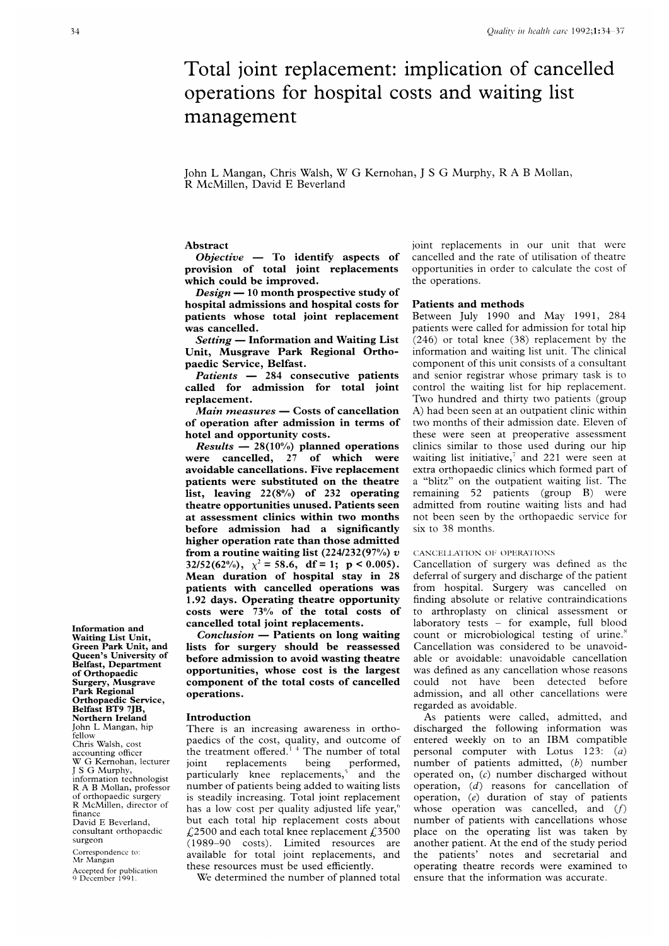# Total joint replacement: implication of cancelled operations for hospital costs and waiting list management

### John <sup>L</sup> Mangan, Chris Walsh, W G Kernohan, <sup>J</sup> <sup>S</sup> G Murphy, <sup>R</sup> A <sup>B</sup> Mollan, R McMillen, David E Beverland

### Abstract

 $Objective$  - To identify aspects of provision of total joint replacements which could be improved.

Design  $-10$  month prospective study of hospital admissions and hospital costs for patients whose total joint replacement was cancelled.

 $Setting$  – Information and Waiting List Unit, Musgrave Park Regional Orthopaedic Service, Belfast.

Patients  $-284$  consecutive patients called for admission for total joint replacement.

Main measures - Costs of cancellation of operation after admission in terms of hotel and opportunity costs.

*Results*  $- 28(10\%)$  planned operations were cancelled, 27 of which were avoidable cancellations. Five replacement patients were substituted on the theatre list, leaving 22(8%) of 232 operating theatre opportunities unused. Patients seen at assessment clinics within two months before admission had a significantly higher operation rate than those admitted from a routine waiting list  $(224/232(97%) v$ 32/52(62%),  $\chi^2 = 58.6$ , df = 1; p < 0.005). Mean duration of hospital stay in 28 patients with cancelled operations was 1.92 days. Operating theatre opportunity costs were 73% of the total costs of cancelled total joint replacements.

 $Conclusion - Patients on long waiting$ lists for surgery should be reassessed before admission to avoid wasting theatre opportunities, whose cost is the largest component of the total costs of cancelled operations.

#### Introduction

There is an increasing awareness in orthopaedics of the cost, quality, and outcome of the treatment offered. $14$  The number of total joint replacements being performed, particularly knee replacements,) and the number of patients being added to waiting lists is steadily increasing. Total joint replacement has a low cost per quality adjusted life year,<sup>6</sup> but each total hip replacement costs about £2500 and each total knee replacement £3500 (1989-90 costs). Limited resources are available for total joint replacements, and these resources must be used efficiently.

We determined the number of planned total

joint replacements in our unit that were cancelled and the rate of utilisation of theatre opportunities in order to calculate the cost of the operations.

#### Patients and methods

Between July 1990 and May 1991, 284 patients were called for admission for total hip (246) or total knee (38) replacement by the information and waiting list unit. The clinical component of this unit consists of <sup>a</sup> consultant and senior registrar whose primary task is to control the waiting list for hip replacement. Two hundred and thirty two patients (group A) had been seen at an outpatient clinic within two months of their admission date. Eleven of these were seen at preoperative assessment clinics similar to those used during our hip waiting list initiative, $\bar{y}$  and 221 were seen at extra orthopaedic clinics which formed part of <sup>a</sup> "blitz" on the outpatient waiting list. The remaining 52 patients (group B) were admitted from routine waiting lists and had not been seen by the orthopaedic service for six to 38 months.

#### CANCELLATION OF OPERATIONS

Cancellation of surgery was defined as the deferral of surgery and discharge of the patient from hospital. Surgery was cancelled on finding absolute or relative contraindications to arthroplasty on clinical assessment or laboratory tests - for example, full blood count or microbiological testing of urine.' Cancellation was considered to be unavoidable or avoidable: unavoidable cancellation was defined as any cancellation whose reasons could not have been detected before admission, and all other cancellations were regarded as avoidable.

As patients were called, admitted, and discharged the following information was entered weekly on to an IBM compatible personal computer with Lotus 123: (a) number of patients admitted, (b) number operated on, (c) number discharged without operation, (d) reasons for cancellation of operation, (e) duration of stay of patients whose operation was cancelled, and  $(f)$ number of patients with cancellations whose place on the operating list was taken by another patient. At the end of the study period the patients' notes and secretarial and operating theatre records were examined to ensure that the information was accurate.

Information and Waiting List Unit, Green Park Unit, and Queen's University of Belfast, Department of Orthopaedic Surgery, Musgrave Park Regional Orthopaedic Service, Belfast BT9 7JB, Northern Ireland John L Mangan, hip fellow Chris Walsh, cost accounting officer W G Kernohan, lecturer <sup>J</sup> <sup>S</sup> G Murphy, information technologist R A B Mollan, professor of orthopaedic surgery R McMillen, director of finance David E Beverland, consultant orthopaedic surgeon Correspondence to:

Mr Mangan Accepted for publication 9 December 1991.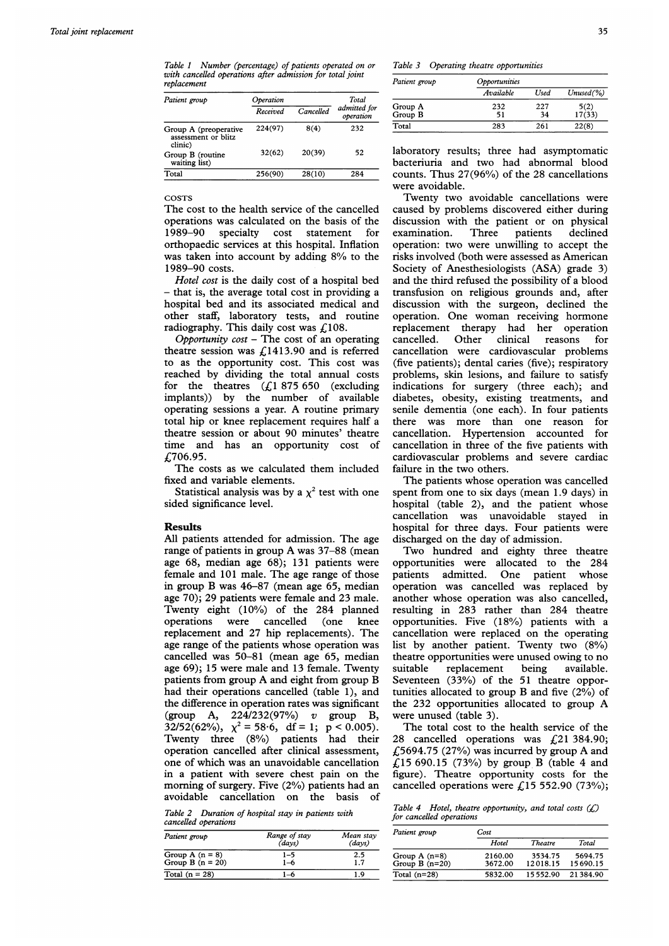Table <sup>1</sup> Number (percentage) of patients operated on or with cancelled operations after admission for total joint replacement

| Patient group                                           | Operation |           | Total                     |
|---------------------------------------------------------|-----------|-----------|---------------------------|
|                                                         | Received  | Cancelled | admitted for<br>operation |
| Group A (preoperative<br>assessment or blitz<br>clinic) | 224(97)   | 8(4)      | 232                       |
| Group B (routine<br>waiting list)                       | 32(62)    | 20(39)    | 52                        |
| Total                                                   | 256(90)   | 28(10)    | 284                       |

COSTS

The cost to the health service of the cancelled operations was calculated on the basis of the 1989-90 specialty cost statement for orthopaedic services at this hospital. Inflation was taken into account by adding 8% to the 1989-90 costs.

Hotel cost is the daily cost of a hospital bed - that is, the average total cost in providing a hospital bed and its associated medical and other staff, laboratory tests, and routine radiography. This daily cost was  $f<sub>108</sub>$ .

Opportunity  $cost$  – The cost of an operating theatre session was £1413.90 and is referred to as the opportunity cost. This cost was reached by dividing the total annual costs for the theatres  $(f1 875 650$  (excluding implants)) by the number of available operating sessions <sup>a</sup> year. A routine primary total hip or knee replacement requires half a theatre session or about 90 minutes' theatre time and has an opportunity cost of £706.95.

The costs as we calculated them included fixed and variable elements.

Statistical analysis was by a  $\chi^2$  test with one sided significance level.

#### Results

All patients attended for admission. The age range of patients in group A was 37-88 (mean age 68, median age 68); 131 patients were female and 101 male. The age range of those in group B was 46-87 (mean age 65, median age 70); 29 patients were female and 23 male. Twenty eight (10%) of the 284 planned operations were cancelled (one knee replacement and 27 hip replacements). The age range of the patients whose operation was cancelled was 50-81 (mean age 65, median age 69); 15 were male and 13 female. Twenty patients from group A and eight from group B had their operations cancelled (table 1), and the difference in operation rates was significant (group A, 224/232(97%) v group B,  $32/52(62%)$ ,  $\chi^2 = 58.6$ , df = 1; p < 0.005). Twenty three (8%) patients had their operation cancelled after clinical assessment, one of which was an unavoidable cancellation in a patient with severe chest pain on the morning of surgery. Five (2%) patients had an avoidable cancellation on the basis of

Table 2 Duration of hospital stay in patients with cancelled operations

| Patient group                           | Range of stay<br>(days) | Mean stay<br>(days)<br>2.5<br>1.7 |  |
|-----------------------------------------|-------------------------|-----------------------------------|--|
| Group A $(n = 8)$<br>Group B $(n = 20)$ | 1–5<br>$1 - 6$          |                                   |  |
| Total $(n = 28)$                        | 1–6                     | 1.9                               |  |

Table 3 Operating theatre opportunities

| Patient group | <i><b>Opportunities</b></i> |      |               |  |
|---------------|-----------------------------|------|---------------|--|
|               | Available                   | Used | $Unused(\% )$ |  |
| Group A       | 232                         | 227  | 5(2)          |  |
| Group B       | 51                          | 34   | 17(33)        |  |
| Total         | 283                         | 261  | 22(8)         |  |

laboratory results; three had asymptomatic bacteriuria and two had abnormal blood counts. Thus 27(96%) of the 28 cancellations were avoidable.

Twenty two avoidable cancellations were caused by problems discovered either during discussion with the patient or on physical examination. Three patients declined operation: two were unwilling to accept the risks involved (both were assessed as American Society of Anesthesiologists (ASA) grade 3) and the third refused the possibility of a blood transfusion on religious grounds and, after discussion with the surgeon, declined the operation. One woman receiving hormone replacement therapy had her operation cancelled. Other clinical reasons for cancellation were cardiovascular problems (five patients); dental caries (five); respiratory problems, skin lesions, and failure to satisfy indications for surgery (three each); and diabetes, obesity, existing treatments, and senile dementia (one each). In four patients there was more than one reason for cancellation. Hypertension accounted for cancellation in three of the five patients with cardiovascular problems and severe cardiac failure in the two others.

The patients whose operation was cancelled spent from one to six days (mean 1.9 days) in hospital (table 2), and the patient whose cancellation was unavoidable stayed in hospital for three days. Four patients were discharged on the day of admission.

Two hundred and eighty three theatre opportunities were allocated to the 284 patients admitted. One patient whose operation was cancelled was replaced by another whose operation was also cancelled, resulting in 283 rather than 284 theatre opportunities. Five (18%) patients with a cancellation were replaced on the operating list by another patient. Twenty two (8%) theatre opportunities were unused owing to no suitable replacement being available. Seventeen (33%) of the 51 theatre opportunities allocated to group B and five (2%) of the 232 opportunities allocated to group A were unused (table 3).

The total cost to the health service of the 28 cancelled operations was £21 384.90; £5694.75 (27%) was incurred by group A and  $\text{\emph{£}}15\,690.15\,$  (73%) by group B (table 4 and figure). Theatre opportunity costs for the cancelled operations were £15 552.90 (73%);

Table 4 Hotel, theatre opportunity, and total costs  $(f)$ for cancelled operations

| Patient group   | Cost    |                |          |
|-----------------|---------|----------------|----------|
|                 | Hotel   | <b>Theatre</b> | Total    |
| Group $A(n=8)$  | 2160.00 | 3534.75        | 5694.75  |
| Group $B(n=20)$ | 3672.00 | 12018.15       | 15690.15 |
| Total $(n=28)$  | 5832.00 | 15552.90       | 21384.90 |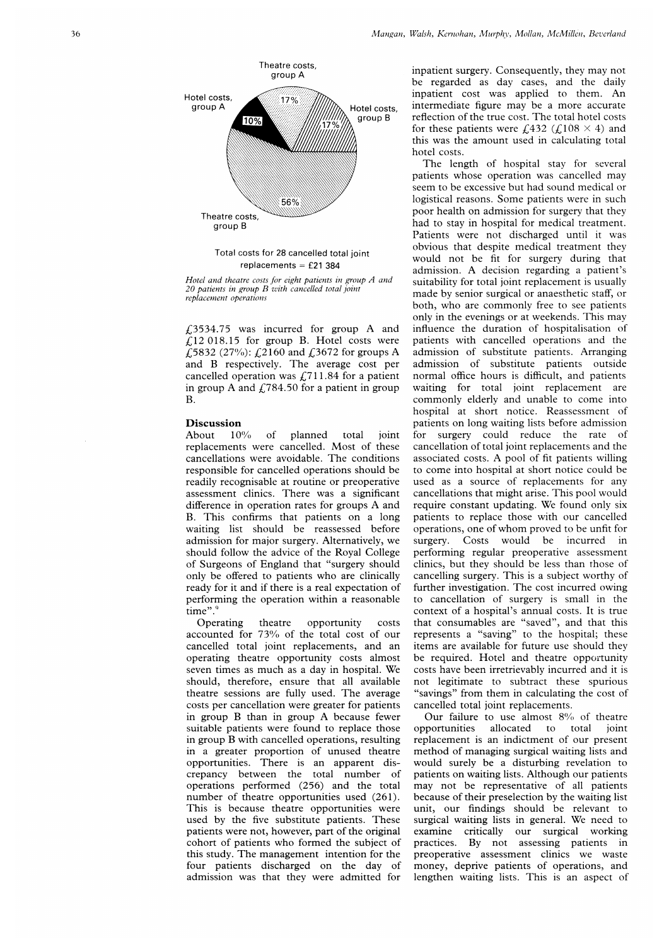

Total costs for 28 cancelled total replacements = £21 384

Hotel and theatre costs for eight patients in group . 20 patients in group B with cancelled total J replacement operations

 $\zeta$ 3534.75 was incurred for group  $f12$  018.15 for group B. Hotel costs were £5832 (27%): £2160 and £3672 for and B respectively. The average cancelled operation was  $\text{\emph{L}}711.84$  for in group A and £784.50 for a patie B.

# **Discussion**<br>About 10%

About of planned total replacements were cancelled. Most of these cancellations were avoidable. The responsible for cancelled operation readily recognisable at routine or p reoperative used as assessment clinics. There was a difference in operation rates for groups B. This confirms that patients on waiting list should be reassessed before admission for major surgery. Alternatively, we should follow the advice of the Roval College of Surgeons of England that "surgery should only be offered to patients who are clinically ready for it and if there is a real ex<sub>l</sub> performing the operation within a time".

Operating theatre opportunity accounted for  $73\%$  of the total cost of our represents cancelled total joint replacements, and an operating theatre opportunity costs almost seven times as much as a day in h should, therefore, ensure that a theatre sessions are fully used. T costs per cancellation were greater for patients in group B than in group A bec suitable patients were found to replace those in group B with cancelled operation in a greater proportion of unus opportunities. There is an apparent discrepancy between the total r operations performed (256) and number of theatre opportunities t This is because theatre opportunities were used by the five substitute patients. These patients were not, however, part of cohort of patients who formed the subject of this study. The management intention for the four patients discharged on the day of admission was that they were admitted for

inpatient surgery. Consequently, they may not be regarded as day cases, and the daily inpatient cost was applied to them. An Hotel costs, intermediate figure may be a more accurate reflection of the true cost. The total hotel costs for these patients were  $\text{\textsterling}432 \text{\texttt{(}}\text{\textsterling}108 \times 4\text{\texttt{)}}$  and this was the amount used in calculating total hotel costs.

The length of hospital stay for several patients whose operation was cancelled may seem to be excessive but had sound medical or logistical reasons. Some patients were in such poor health on admission for surgery that they had to stay in hospital for medical treatment. Patients were not discharged until it was obvious that despite medical treatment they would not be fit for surgery during that admission. A decision regarding a patient's suitability for total joint replacement is usually made by senior surgical or anaesthetic staff, or both, who are commonly free to see patients only in the evenings or at weekends. This may influence the duration of hospitalisation of patients with cancelled operations and the admission of substitute patients. Arranging admission of substitute patients outside normal office hours is difficult, and patients waiting for total joint replacement are commonly elderly and unable to come into hospital at short notice. Reassessment of patients on long waiting lists before admission joint for surgery could reduce the rate of cancellation of total joint replacements and the conditions associated costs. A pool of fit patients willing to come into hospital at short notice could be used as a source of replacements for any cancellations that might arise. This pool would require constant updating. We found only six patients to replace those with our cancelled operations, one of whom proved to be unfit for surgery. Costs would be incurred in performing regular preoperative assessment clinics, but they should be less than those of re clinically cancelling surgery. This is a subject worthy of further investigation. The cost incurred owing to cancellation of surgery is small in the context of a hospital's annual costs. It is true costs that consumables are "saved", and that this represents a "saving" to the hospital; these items are available for future use should they be required. Hotel and theatre opportunity costs have been irretrievably incurred and it is not legitimate to subtract these spurious "savings" from them in calculating the cost of cancelled total joint replacements.

Our failure to use almost 8% of theatre opportunities allocated to total joint replacement is an indictment of our present method of managing surgical waiting lists and )arent dis- would surely be a disturbing revelation to patients on waiting lists. Although our patients may not be representative of all patients because of their preselection by the waiting list unit, our findings should be relevant to surgical waiting lists in general. We need to examine critically our surgical working practices. By not assessing patients in preoperative assessment clinics we waste money, deprive patients of operations, and lengthen waiting lists. This is an aspect of